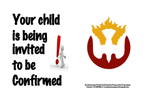# Your child is being invited to be Confirmed



Brackenstown Parish Confirmation Preparation Programme<br>Contact: 01 8401661 or brackenstownparish@gmail.com